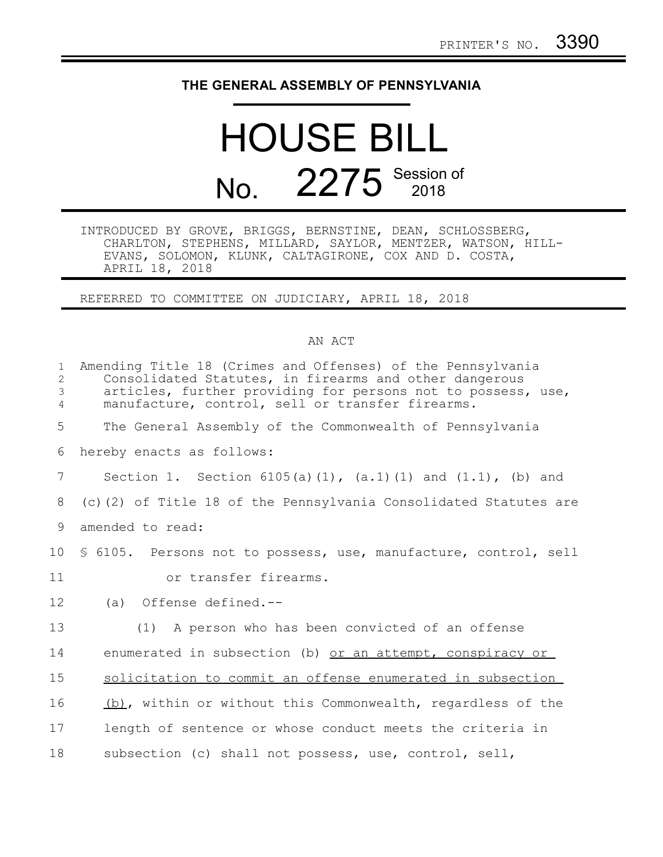## **THE GENERAL ASSEMBLY OF PENNSYLVANIA**

## HOUSE BILL No. 2275 Session of

INTRODUCED BY GROVE, BRIGGS, BERNSTINE, DEAN, SCHLOSSBERG, CHARLTON, STEPHENS, MILLARD, SAYLOR, MENTZER, WATSON, HILL-EVANS, SOLOMON, KLUNK, CALTAGIRONE, COX AND D. COSTA, APRIL 18, 2018

REFERRED TO COMMITTEE ON JUDICIARY, APRIL 18, 2018

## AN ACT

| $\mathbf{1}$<br>2<br>3<br>$\overline{4}$ | Amending Title 18 (Crimes and Offenses) of the Pennsylvania<br>Consolidated Statutes, in firearms and other dangerous<br>articles, further providing for persons not to possess, use,<br>manufacture, control, sell or transfer firearms. |
|------------------------------------------|-------------------------------------------------------------------------------------------------------------------------------------------------------------------------------------------------------------------------------------------|
| 5                                        | The General Assembly of the Commonwealth of Pennsylvania                                                                                                                                                                                  |
| 6                                        | hereby enacts as follows:                                                                                                                                                                                                                 |
| 7                                        | Section 1. Section $6105(a)(1)$ , $(a.1)(1)$ and $(1.1)$ , $(b)$ and                                                                                                                                                                      |
| 8                                        | (c)(2) of Title 18 of the Pennsylvania Consolidated Statutes are                                                                                                                                                                          |
| 9                                        | amended to read:                                                                                                                                                                                                                          |
| 10                                       | § 6105. Persons not to possess, use, manufacture, control, sell                                                                                                                                                                           |
| 11                                       | or transfer firearms.                                                                                                                                                                                                                     |
| 12                                       | (a) Offense defined.--                                                                                                                                                                                                                    |
| 13                                       | (1) A person who has been convicted of an offense                                                                                                                                                                                         |
| 14                                       | enumerated in subsection (b) or an attempt, conspiracy or                                                                                                                                                                                 |
| 15                                       | solicitation to commit an offense enumerated in subsection                                                                                                                                                                                |
| 16                                       | (b), within or without this Commonwealth, regardless of the                                                                                                                                                                               |
| 17                                       | length of sentence or whose conduct meets the criteria in                                                                                                                                                                                 |
| 18                                       | subsection (c) shall not possess, use, control, sell,                                                                                                                                                                                     |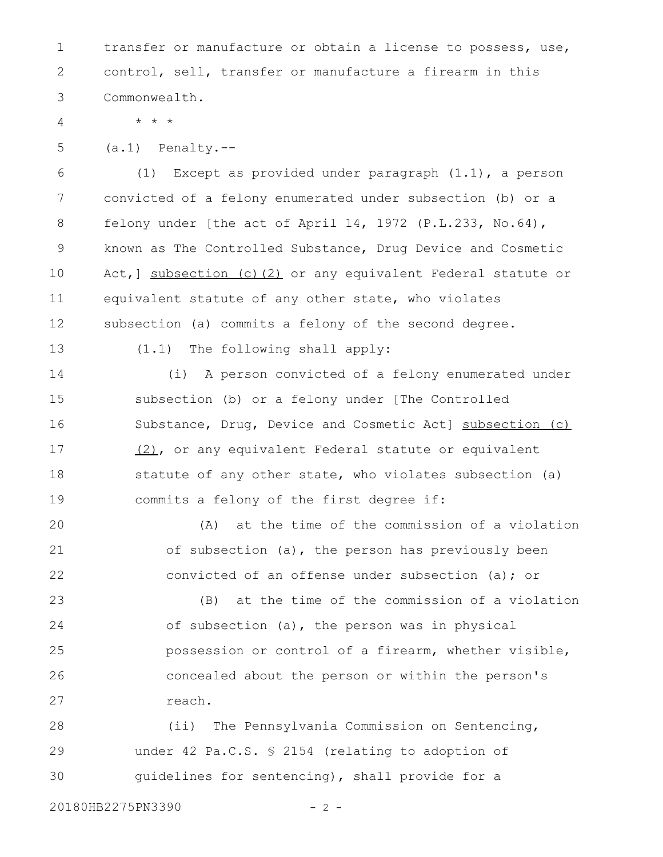transfer or manufacture or obtain a license to possess, use, control, sell, transfer or manufacture a firearm in this Commonwealth. 1 2 3

4

(a.1) Penalty.-- 5

\* \* \*

(1) Except as provided under paragraph (1.1), a person convicted of a felony enumerated under subsection (b) or a felony under [the act of April 14, 1972 (P.L.233, No.64), known as The Controlled Substance, Drug Device and Cosmetic Act, ] subsection (c)(2) or any equivalent Federal statute or equivalent statute of any other state, who violates subsection (a) commits a felony of the second degree. 6 7 8 9 10 11 12

13

(1.1) The following shall apply:

(i) A person convicted of a felony enumerated under subsection (b) or a felony under [The Controlled Substance, Drug, Device and Cosmetic Act] subsection (c) (2), or any equivalent Federal statute or equivalent statute of any other state, who violates subsection (a) commits a felony of the first degree if: 14 15 16 17 18 19

(A) at the time of the commission of a violation of subsection (a), the person has previously been convicted of an offense under subsection (a); or 20 21 22

(B) at the time of the commission of a violation of subsection (a), the person was in physical possession or control of a firearm, whether visible, concealed about the person or within the person's reach. 23 24 25 26 27

(ii) The Pennsylvania Commission on Sentencing, under 42 Pa.C.S. § 2154 (relating to adoption of guidelines for sentencing), shall provide for a 28 29 30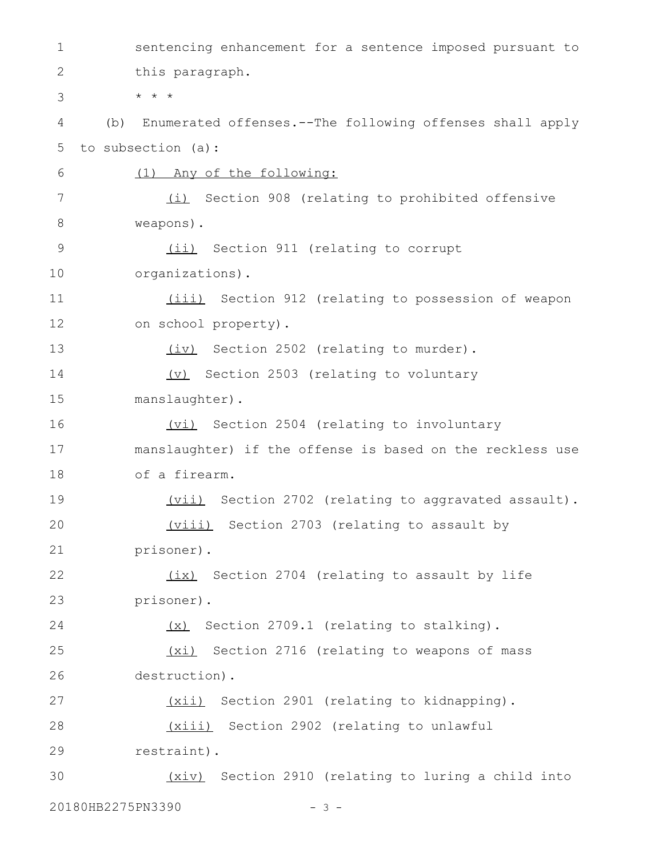sentencing enhancement for a sentence imposed pursuant to this paragraph. \* \* \* (b) Enumerated offenses.--The following offenses shall apply to subsection (a): (1) Any of the following: (i) Section 908 (relating to prohibited offensive weapons). (ii) Section 911 (relating to corrupt organizations). (iii) Section 912 (relating to possession of weapon on school property). (iv) Section 2502 (relating to murder). (v) Section 2503 (relating to voluntary manslaughter). (vi) Section 2504 (relating to involuntary manslaughter) if the offense is based on the reckless use of a firearm. (vii) Section 2702 (relating to aggravated assault). (viii) Section 2703 (relating to assault by prisoner). (ix) Section 2704 (relating to assault by life prisoner). (x) Section 2709.1 (relating to stalking). (xi) Section 2716 (relating to weapons of mass destruction). (xii) Section 2901 (relating to kidnapping). (xiii) Section 2902 (relating to unlawful restraint). (xiv) Section 2910 (relating to luring a child into 20180HB2275PN3390 - 3 -1 2 3 4 5 6 7 8 9 10 11 12 13 14 15 16 17 18 19 20 21 22 23 24 25 26 27 28 29 30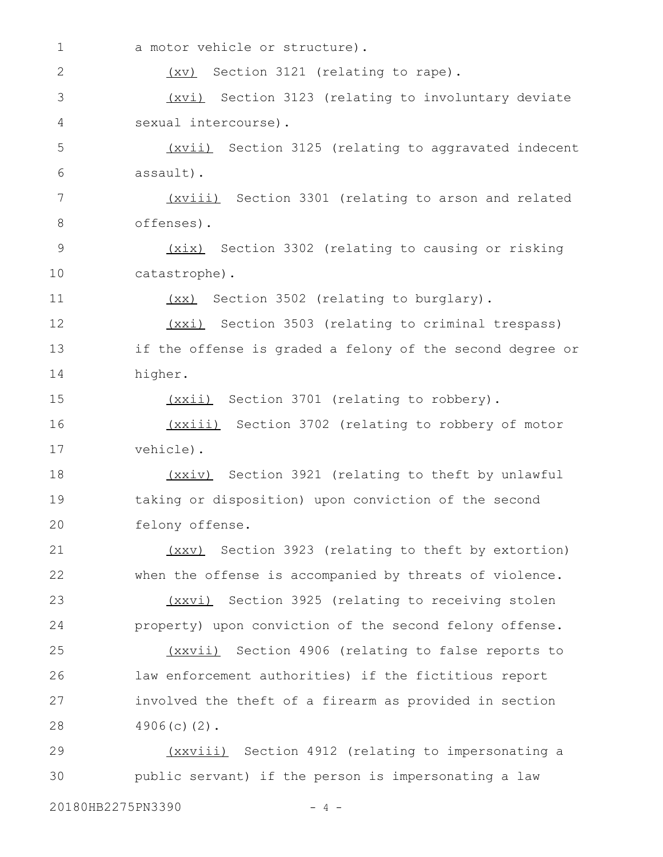a motor vehicle or structure). (xv) Section 3121 (relating to rape). (xvi) Section 3123 (relating to involuntary deviate sexual intercourse). (xvii) Section 3125 (relating to aggravated indecent assault). (xviii) Section 3301 (relating to arson and related offenses). (xix) Section 3302 (relating to causing or risking catastrophe). (xx) Section 3502 (relating to burglary). (xxi) Section 3503 (relating to criminal trespass) if the offense is graded a felony of the second degree or higher. (xxii) Section 3701 (relating to robbery). (xxiii) Section 3702 (relating to robbery of motor vehicle). (xxiv) Section 3921 (relating to theft by unlawful taking or disposition) upon conviction of the second felony offense. (xxv) Section 3923 (relating to theft by extortion) when the offense is accompanied by threats of violence. (xxvi) Section 3925 (relating to receiving stolen property) upon conviction of the second felony offense. (xxvii) Section 4906 (relating to false reports to law enforcement authorities) if the fictitious report involved the theft of a firearm as provided in section 4906(c)(2). (xxviii) Section 4912 (relating to impersonating a public servant) if the person is impersonating a law 1 2 3 4 5 6 7 8 9 10 11 12 13 14 15 16 17 18 19 20 21 22 23 24 25 26 27 28 29 30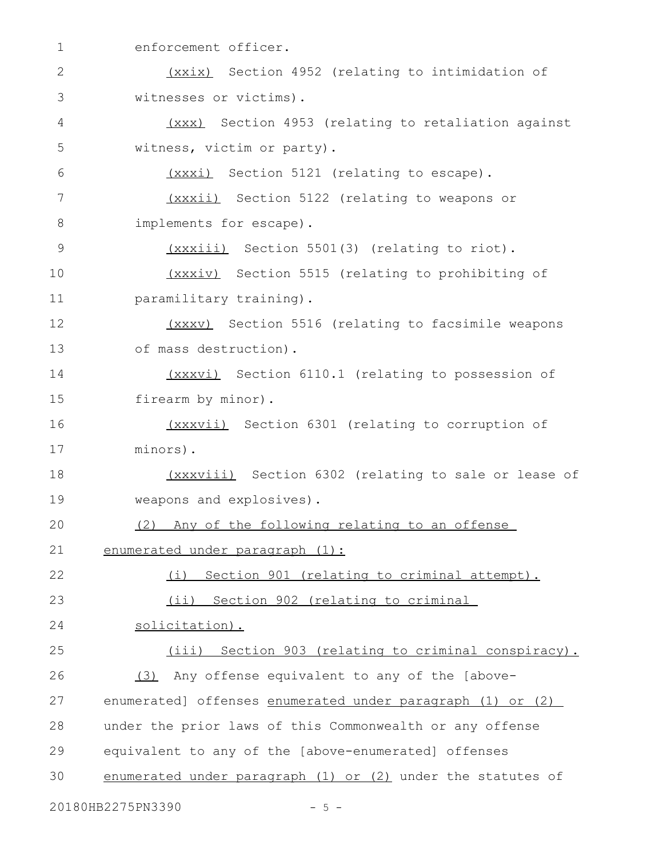| $\mathbf 1$   | enforcement officer.                                        |
|---------------|-------------------------------------------------------------|
| 2             | (xxix) Section 4952 (relating to intimidation of            |
| 3             | witnesses or victims).                                      |
| 4             | (xxx) Section 4953 (relating to retaliation against         |
| 5             | witness, victim or party).                                  |
| 6             | (xxxi) Section 5121 (relating to escape).                   |
| 7             | (xxxii) Section 5122 (relating to weapons or                |
| 8             | implements for escape).                                     |
| $\mathcal{G}$ | (xxxiii) Section 5501(3) (relating to riot).                |
| 10            | (xxxiv) Section 5515 (relating to prohibiting of            |
| 11            | paramilitary training).                                     |
| 12            | (xxxv) Section 5516 (relating to facsimile weapons          |
| 13            | of mass destruction).                                       |
| 14            | (xxxvi) Section 6110.1 (relating to possession of           |
| 15            | firearm by minor).                                          |
| 16            | (xxxvii) Section 6301 (relating to corruption of            |
| 17            | minors).                                                    |
| 18            | (xxxviii) Section 6302 (relating to sale or lease of        |
| 19            | weapons and explosives).                                    |
| 20            | Any of the following relating to an offense<br>(2)          |
| 21            | enumerated under paragraph (1):                             |
| 22            | (i) Section 901 (relating to criminal attempt).             |
| 23            | (ii) Section 902 (relating to criminal                      |
| 24            | solicitation).                                              |
| 25            | (iii) Section 903 (relating to criminal conspiracy).        |
| 26            | (3) Any offense equivalent to any of the [above-            |
| 27            | enumerated] offenses enumerated under paragraph (1) or (2)  |
| 28            | under the prior laws of this Commonwealth or any offense    |
| 29            | equivalent to any of the [above-enumerated] offenses        |
| 30            | enumerated under paragraph (1) or (2) under the statutes of |
|               | 20180HB2275PN3390<br>$-5 -$                                 |